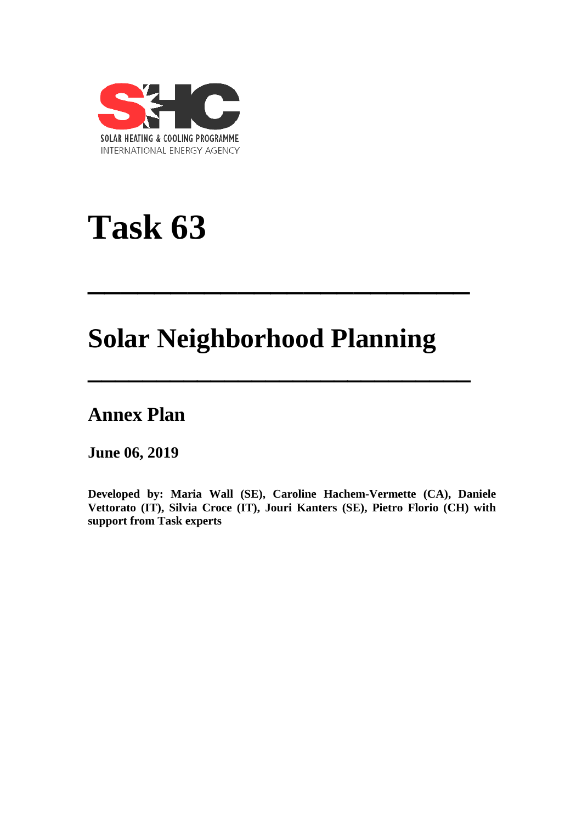

# **Task 63**

## **Solar Neighborhood Planning**

**\_\_\_\_\_\_\_\_\_\_\_\_\_\_\_\_\_\_\_\_\_\_\_**

**\_\_\_\_\_\_\_\_\_\_\_\_\_\_\_\_\_\_\_\_\_\_\_\_\_\_\_\_**

### **Annex Plan**

**June 06, 2019**

**Developed by: Maria Wall (SE), Caroline Hachem-Vermette (CA), Daniele Vettorato (IT), Silvia Croce (IT), Jouri Kanters (SE), Pietro Florio (CH) with support from Task experts**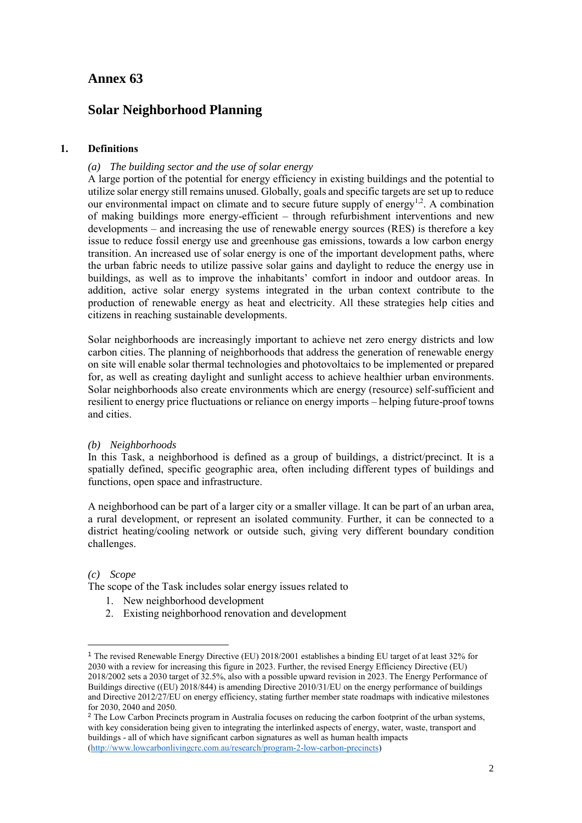#### **Annex 63**

#### **Solar Neighborhood Planning**

#### **1. Definitions**

#### *(a) The building sector and the use of solar energy*

A large portion of the potential for energy efficiency in existing buildings and the potential to utilize solar energy still remains unused. Globally, goals and specific targets are set up to reduce our environmental impact on climate and to secure future supply of energy<sup>1,2</sup>. A combination of making buildings more energy-efficient – through refurbishment interventions and new developments – and increasing the use of renewable energy sources (RES) is therefore a key issue to reduce fossil energy use and greenhouse gas emissions, towards a low carbon energy transition. An increased use of solar energy is one of the important development paths, where the urban fabric needs to utilize passive solar gains and daylight to reduce the energy use in buildings, as well as to improve the inhabitants' comfort in indoor and outdoor areas. In addition, active solar energy systems integrated in the urban context contribute to the production of renewable energy as heat and electricity. All these strategies help cities and citizens in reaching sustainable developments.

Solar neighborhoods are increasingly important to achieve net zero energy districts and low carbon cities. The planning of neighborhoods that address the generation of renewable energy on site will enable solar thermal technologies and photovoltaics to be implemented or prepared for, as well as creating daylight and sunlight access to achieve healthier urban environments. Solar neighborhoods also create environments which are energy (resource) self-sufficient and resilient to energy price fluctuations or reliance on energy imports – helping future-proof towns and cities.

#### *(b) Neighborhoods*

In this Task, a neighborhood is defined as a group of buildings, a district/precinct. It is a spatially defined, specific geographic area, often including different types of buildings and functions, open space and infrastructure.

A neighborhood can be part of a larger city or a smaller village. It can be part of an urban area, a rural development, or represent an isolated community. Further, it can be connected to a district heating/cooling network or outside such, giving very different boundary condition challenges.

#### *(c) Scope*

1

The scope of the Task includes solar energy issues related to

- 1. New neighborhood development
- 2. Existing neighborhood renovation and development

<sup>1</sup> The revised Renewable Energy Directive (EU) 2018/2001 establishes a binding EU target of at least 32% for 2030 with a review for increasing this figure in 2023. Further, the revised Energy Efficiency Directive (EU) 2018/2002 sets a 2030 target of 32.5%, also with a possible upward revision in 2023. The Energy Performance of Buildings directive ((EU) 2018/844) is amending Directive 2010/31/EU on the energy performance of buildings and Directive 2012/27/EU on energy efficiency, stating further member state roadmaps with indicative milestones for 2030, 2040 and 2050.

<sup>&</sup>lt;sup>2</sup> The Low Carbon Precincts program in Australia focuses on reducing the carbon footprint of the urban systems, with key consideration being given to integrating the interlinked aspects of energy, water, waste, transport and buildings - all of which have significant carbon signatures as well as human health impacts [\(http://www.lowcarbonlivingcrc.com.au/research/program-2-low-carbon-precincts\)](http://www.lowcarbonlivingcrc.com.au/research/program-2-low-carbon-precincts)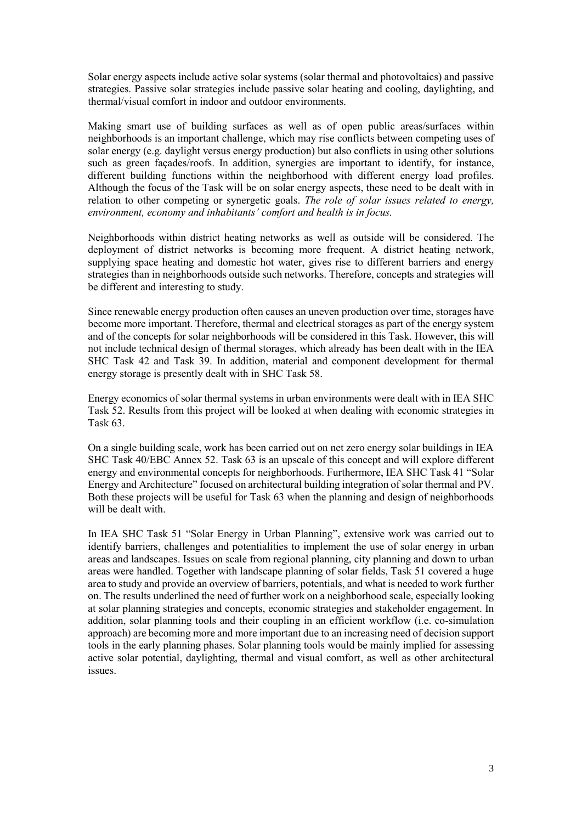Solar energy aspects include active solar systems (solar thermal and photovoltaics) and passive strategies. Passive solar strategies include passive solar heating and cooling, daylighting, and thermal/visual comfort in indoor and outdoor environments.

Making smart use of building surfaces as well as of open public areas/surfaces within neighborhoods is an important challenge, which may rise conflicts between competing uses of solar energy (e.g. daylight versus energy production) but also conflicts in using other solutions such as green façades/roofs. In addition, synergies are important to identify, for instance, different building functions within the neighborhood with different energy load profiles. Although the focus of the Task will be on solar energy aspects, these need to be dealt with in relation to other competing or synergetic goals. *The role of solar issues related to energy, environment, economy and inhabitants' comfort and health is in focus.*

Neighborhoods within district heating networks as well as outside will be considered. The deployment of district networks is becoming more frequent. A district heating network, supplying space heating and domestic hot water, gives rise to different barriers and energy strategies than in neighborhoods outside such networks. Therefore, concepts and strategies will be different and interesting to study.

Since renewable energy production often causes an uneven production over time, storages have become more important. Therefore, thermal and electrical storages as part of the energy system and of the concepts for solar neighborhoods will be considered in this Task. However, this will not include technical design of thermal storages, which already has been dealt with in the IEA SHC Task 42 and Task 39. In addition, material and component development for thermal energy storage is presently dealt with in SHC Task 58.

Energy economics of solar thermal systems in urban environments were dealt with in IEA SHC Task 52. Results from this project will be looked at when dealing with economic strategies in Task 63.

On a single building scale, work has been carried out on net zero energy solar buildings in IEA SHC Task 40/EBC Annex 52. Task 63 is an upscale of this concept and will explore different energy and environmental concepts for neighborhoods. Furthermore, IEA SHC Task 41 "Solar Energy and Architecture" focused on architectural building integration of solar thermal and PV. Both these projects will be useful for Task 63 when the planning and design of neighborhoods will be dealt with.

In IEA SHC Task 51 "Solar Energy in Urban Planning", extensive work was carried out to identify barriers, challenges and potentialities to implement the use of solar energy in urban areas and landscapes. Issues on scale from regional planning, city planning and down to urban areas were handled. Together with landscape planning of solar fields, Task 51 covered a huge area to study and provide an overview of barriers, potentials, and what is needed to work further on. The results underlined the need of further work on a neighborhood scale, especially looking at solar planning strategies and concepts, economic strategies and stakeholder engagement. In addition, solar planning tools and their coupling in an efficient workflow (i.e. co-simulation approach) are becoming more and more important due to an increasing need of decision support tools in the early planning phases. Solar planning tools would be mainly implied for assessing active solar potential, daylighting, thermal and visual comfort, as well as other architectural issues.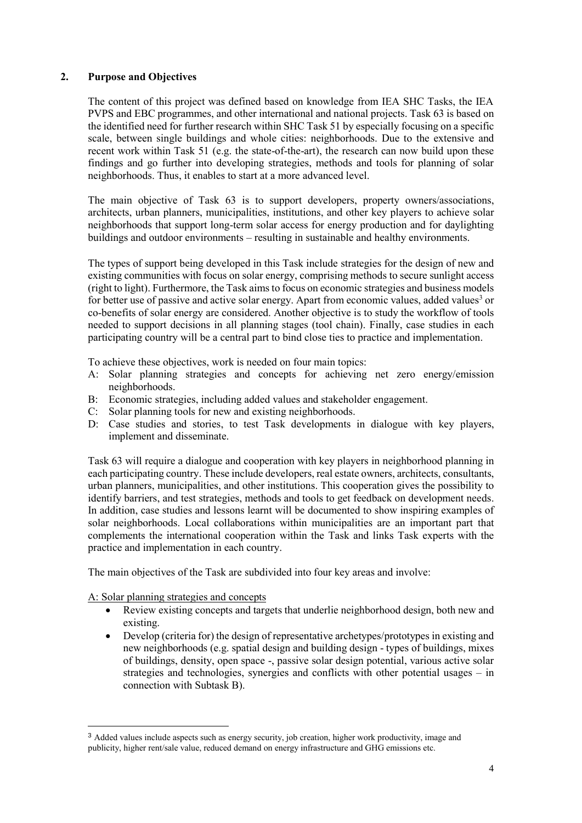#### **2. Purpose and Objectives**

The content of this project was defined based on knowledge from IEA SHC Tasks, the IEA PVPS and EBC programmes, and other international and national projects. Task 63 is based on the identified need for further research within SHC Task 51 by especially focusing on a specific scale, between single buildings and whole cities: neighborhoods. Due to the extensive and recent work within Task 51 (e.g. the state-of-the-art), the research can now build upon these findings and go further into developing strategies, methods and tools for planning of solar neighborhoods. Thus, it enables to start at a more advanced level.

The main objective of Task 63 is to support developers, property owners/associations, architects, urban planners, municipalities, institutions, and other key players to achieve solar neighborhoods that support long-term solar access for energy production and for daylighting buildings and outdoor environments – resulting in sustainable and healthy environments.

The types of support being developed in this Task include strategies for the design of new and existing communities with focus on solar energy, comprising methods to secure sunlight access (right to light). Furthermore, the Task aims to focus on economic strategies and business models for better use of passive and active solar energy. Apart from economic values, added values<sup>3</sup> or co-benefits of solar energy are considered. Another objective is to study the workflow of tools needed to support decisions in all planning stages (tool chain). Finally, case studies in each participating country will be a central part to bind close ties to practice and implementation.

To achieve these objectives, work is needed on four main topics:

- A: Solar planning strategies and concepts for achieving net zero energy/emission neighborhoods.
- B: Economic strategies, including added values and stakeholder engagement.
- C: Solar planning tools for new and existing neighborhoods.
- D: Case studies and stories, to test Task developments in dialogue with key players, implement and disseminate.

Task 63 will require a dialogue and cooperation with key players in neighborhood planning in each participating country. These include developers, real estate owners, architects, consultants, urban planners, municipalities, and other institutions. This cooperation gives the possibility to identify barriers, and test strategies, methods and tools to get feedback on development needs. In addition, case studies and lessons learnt will be documented to show inspiring examples of solar neighborhoods. Local collaborations within municipalities are an important part that complements the international cooperation within the Task and links Task experts with the practice and implementation in each country.

The main objectives of the Task are subdivided into four key areas and involve:

A: Solar planning strategies and concepts

1

- Review existing concepts and targets that underlie neighborhood design, both new and existing.
- Develop (criteria for) the design of representative archetypes/prototypes in existing and new neighborhoods (e.g. spatial design and building design - types of buildings, mixes of buildings, density, open space -, passive solar design potential, various active solar strategies and technologies, synergies and conflicts with other potential usages – in connection with Subtask B).

<sup>&</sup>lt;sup>3</sup> Added values include aspects such as energy security, job creation, higher work productivity, image and publicity, higher rent/sale value, reduced demand on energy infrastructure and GHG emissions etc.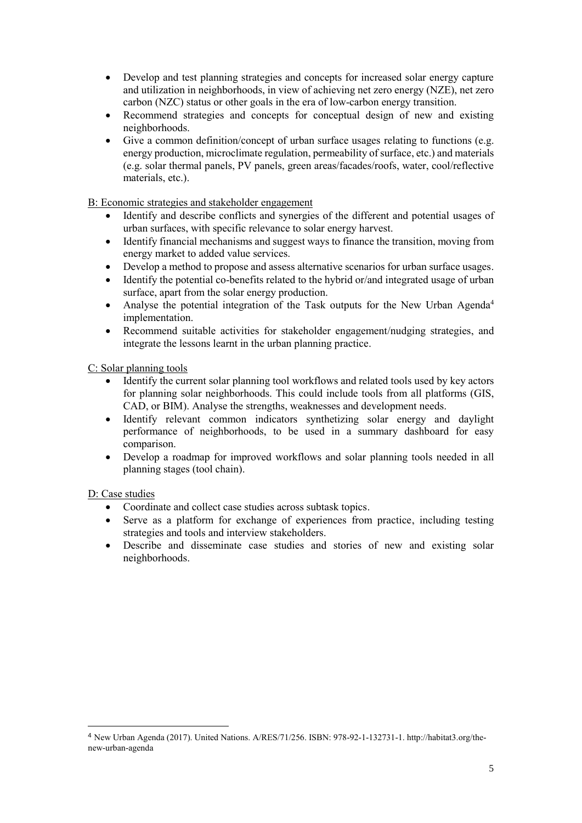- Develop and test planning strategies and concepts for increased solar energy capture and utilization in neighborhoods, in view of achieving net zero energy (NZE), net zero carbon (NZC) status or other goals in the era of low-carbon energy transition.
- Recommend strategies and concepts for conceptual design of new and existing neighborhoods.
- Give a common definition/concept of urban surface usages relating to functions (e.g. energy production, microclimate regulation, permeability of surface, etc.) and materials (e.g. solar thermal panels, PV panels, green areas/facades/roofs, water, cool/reflective materials, etc.).

B: Economic strategies and stakeholder engagement

- Identify and describe conflicts and synergies of the different and potential usages of urban surfaces, with specific relevance to solar energy harvest.
- Identify financial mechanisms and suggest ways to finance the transition, moving from energy market to added value services.
- Develop a method to propose and assess alternative scenarios for urban surface usages.
- Identify the potential co-benefits related to the hybrid or/and integrated usage of urban surface, apart from the solar energy production.
- Analyse the potential integration of the Task outputs for the New Urban Agenda<sup>4</sup> implementation.
- Recommend suitable activities for stakeholder engagement/nudging strategies, and integrate the lessons learnt in the urban planning practice.

C: Solar planning tools

- Identify the current solar planning tool workflows and related tools used by key actors for planning solar neighborhoods. This could include tools from all platforms (GIS, CAD, or BIM). Analyse the strengths, weaknesses and development needs.
- Identify relevant common indicators synthetizing solar energy and daylight performance of neighborhoods, to be used in a summary dashboard for easy comparison.
- Develop a roadmap for improved workflows and solar planning tools needed in all planning stages (tool chain).

D: Case studies

1

- Coordinate and collect case studies across subtask topics.
- Serve as a platform for exchange of experiences from practice, including testing strategies and tools and interview stakeholders.
- Describe and disseminate case studies and stories of new and existing solar neighborhoods.

<sup>4</sup> New Urban Agenda (2017). United Nations. A/RES/71/256. ISBN: 978-92-1-132731-1[. http://habitat3.org/the](http://habitat3.org/the-new-urban-agenda)[new-urban-agenda](http://habitat3.org/the-new-urban-agenda)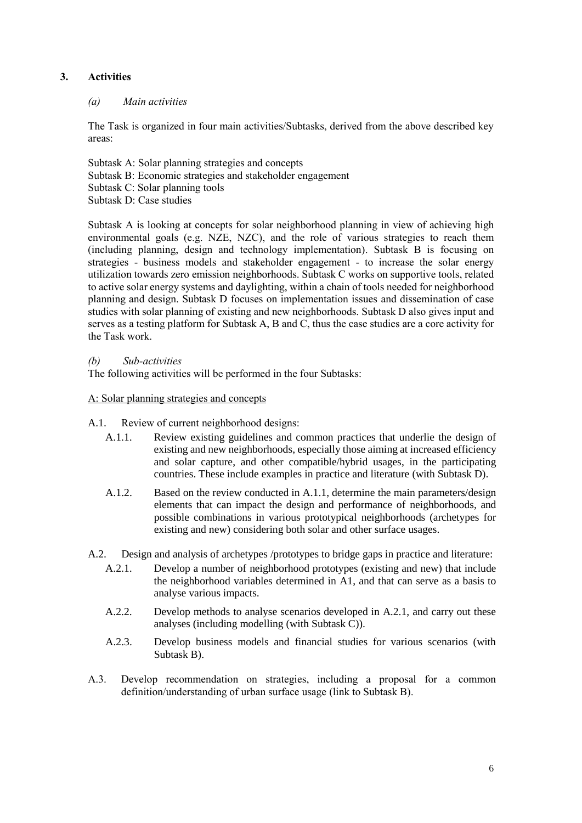#### **3. Activities**

#### *(a) Main activities*

The Task is organized in four main activities/Subtasks, derived from the above described key areas:

Subtask A: Solar planning strategies and concepts Subtask B: Economic strategies and stakeholder engagement Subtask C: Solar planning tools Subtask D: Case studies

Subtask A is looking at concepts for solar neighborhood planning in view of achieving high environmental goals (e.g. NZE, NZC), and the role of various strategies to reach them (including planning, design and technology implementation). Subtask B is focusing on strategies - business models and stakeholder engagement - to increase the solar energy utilization towards zero emission neighborhoods. Subtask C works on supportive tools, related to active solar energy systems and daylighting, within a chain of tools needed for neighborhood planning and design. Subtask D focuses on implementation issues and dissemination of case studies with solar planning of existing and new neighborhoods. Subtask D also gives input and serves as a testing platform for Subtask A, B and C, thus the case studies are a core activity for the Task work.

#### *(b) Sub-activities*

The following activities will be performed in the four Subtasks:

#### A: Solar planning strategies and concepts

#### A.1. Review of current neighborhood designs:

- A.1.1. Review existing guidelines and common practices that underlie the design of existing and new neighborhoods, especially those aiming at increased efficiency and solar capture, and other compatible/hybrid usages, in the participating countries. These include examples in practice and literature (with Subtask D).
- A.1.2. Based on the review conducted in A.1.1, determine the main parameters/design elements that can impact the design and performance of neighborhoods, and possible combinations in various prototypical neighborhoods (archetypes for existing and new) considering both solar and other surface usages.
- A.2. Design and analysis of archetypes /prototypes to bridge gaps in practice and literature:
	- A.2.1. Develop a number of neighborhood prototypes (existing and new) that include the neighborhood variables determined in A1, and that can serve as a basis to analyse various impacts.
	- A.2.2. Develop methods to analyse scenarios developed in A.2.1, and carry out these analyses (including modelling (with Subtask C)).
	- A.2.3. Develop business models and financial studies for various scenarios (with Subtask B).
- A.3. Develop recommendation on strategies, including a proposal for a common definition/understanding of urban surface usage (link to Subtask B).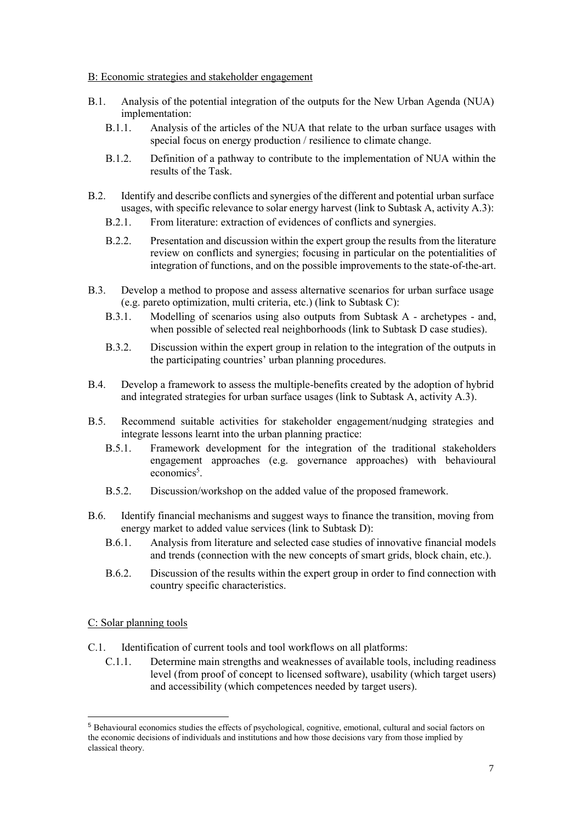B: Economic strategies and stakeholder engagement

- B.1. Analysis of the potential integration of the outputs for the New Urban Agenda (NUA) implementation:
	- B.1.1. Analysis of the articles of the NUA that relate to the urban surface usages with special focus on energy production / resilience to climate change.
	- B.1.2. Definition of a pathway to contribute to the implementation of NUA within the results of the Task.
- B.2. Identify and describe conflicts and synergies of the different and potential urban surface usages, with specific relevance to solar energy harvest (link to Subtask A, activity A.3):
	- B.2.1. From literature: extraction of evidences of conflicts and synergies.
	- B.2.2. Presentation and discussion within the expert group the results from the literature review on conflicts and synergies; focusing in particular on the potentialities of integration of functions, and on the possible improvements to the state-of-the-art.
- B.3. Develop a method to propose and assess alternative scenarios for urban surface usage (e.g. pareto optimization, multi criteria, etc.) (link to Subtask C):
	- B.3.1. Modelling of scenarios using also outputs from Subtask A archetypes and, when possible of selected real neighborhoods (link to Subtask D case studies).
	- B.3.2. Discussion within the expert group in relation to the integration of the outputs in the participating countries' urban planning procedures.
- B.4. Develop a framework to assess the multiple-benefits created by the adoption of hybrid and integrated strategies for urban surface usages (link to Subtask A, activity A.3).
- B.5. Recommend suitable activities for stakeholder engagement/nudging strategies and integrate lessons learnt into the urban planning practice:
	- B.5.1. Framework development for the integration of the traditional stakeholders engagement approaches (e.g. governance approaches) with behavioural economics<sup>5</sup>.
	- B.5.2. Discussion/workshop on the added value of the proposed framework.
- B.6. Identify financial mechanisms and suggest ways to finance the transition, moving from energy market to added value services (link to Subtask D):
	- B.6.1. Analysis from literature and selected case studies of innovative financial models and trends (connection with the new concepts of smart grids, block chain, etc.).
	- B.6.2. Discussion of the results within the expert group in order to find connection with country specific characteristics.

C: Solar planning tools

<u>.</u>

C.1. Identification of current tools and tool workflows on all platforms:

C.1.1. Determine main strengths and weaknesses of available tools, including readiness level (from proof of concept to licensed software), usability (which target users) and accessibility (which competences needed by target users).

<sup>5</sup> Behavioural economics studies the effects of psychological, cognitive, emotional, cultural and social factors on the economic decisions of individuals and institutions and how those decisions vary from those implied by classical theory.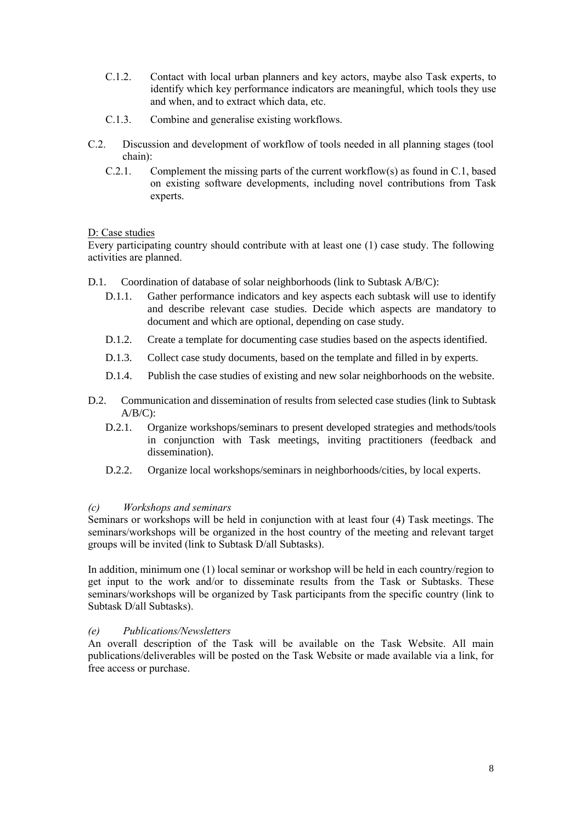- C.1.2. Contact with local urban planners and key actors, maybe also Task experts, to identify which key performance indicators are meaningful, which tools they use and when, and to extract which data, etc.
- C.1.3. Combine and generalise existing workflows.
- C.2. Discussion and development of workflow of tools needed in all planning stages (tool chain):
	- C.2.1. Complement the missing parts of the current workflow(s) as found in C.1, based on existing software developments, including novel contributions from Task experts.

#### D: Case studies

Every participating country should contribute with at least one (1) case study. The following activities are planned.

- D.1. Coordination of database of solar neighborhoods (link to Subtask A/B/C):
	- D.1.1. Gather performance indicators and key aspects each subtask will use to identify and describe relevant case studies. Decide which aspects are mandatory to document and which are optional, depending on case study.
	- D.1.2. Create a template for documenting case studies based on the aspects identified.
	- D.1.3. Collect case study documents, based on the template and filled in by experts.
	- D.1.4. Publish the case studies of existing and new solar neighborhoods on the website.
- D.2. Communication and dissemination of results from selected case studies (link to Subtask  $A/B/C$ ):
	- D.2.1. Organize workshops/seminars to present developed strategies and methods/tools in conjunction with Task meetings, inviting practitioners (feedback and dissemination).
	- D.2.2. Organize local workshops/seminars in neighborhoods/cities, by local experts.

#### *(c) Workshops and seminars*

Seminars or workshops will be held in conjunction with at least four (4) Task meetings. The seminars/workshops will be organized in the host country of the meeting and relevant target groups will be invited (link to Subtask D/all Subtasks).

In addition, minimum one (1) local seminar or workshop will be held in each country/region to get input to the work and/or to disseminate results from the Task or Subtasks. These seminars/workshops will be organized by Task participants from the specific country (link to Subtask D/all Subtasks).

#### *(e) Publications/Newsletters*

An overall description of the Task will be available on the Task Website. All main publications/deliverables will be posted on the Task Website or made available via a link, for free access or purchase.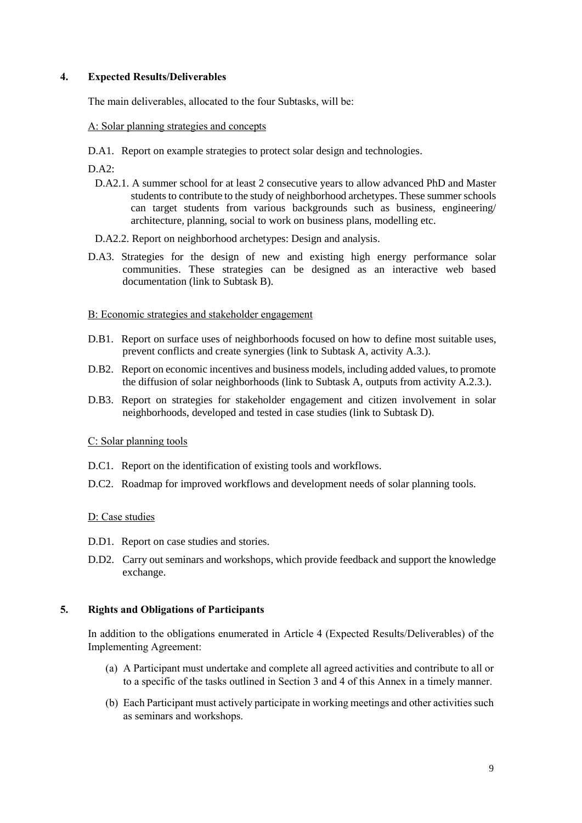#### **4. Expected Results/Deliverables**

The main deliverables, allocated to the four Subtasks, will be:

#### A: Solar planning strategies and concepts

D.A1. Report on example strategies to protect solar design and technologies.

 $DA2$ 

- D.A2.1. A summer school for at least 2 consecutive years to allow advanced PhD and Master students to contribute to the study of neighborhood archetypes. These summer schools can target students from various backgrounds such as business, engineering/ architecture, planning, social to work on business plans, modelling etc.
- D.A2.2. Report on neighborhood archetypes: Design and analysis.
- D.A3. Strategies for the design of new and existing high energy performance solar communities. These strategies can be designed as an interactive web based documentation (link to Subtask B).

#### B: Economic strategies and stakeholder engagement

- D.B1. Report on surface uses of neighborhoods focused on how to define most suitable uses, prevent conflicts and create synergies (link to Subtask A, activity A.3.).
- D.B2. Report on economic incentives and business models, including added values, to promote the diffusion of solar neighborhoods (link to Subtask A, outputs from activity A.2.3.).
- D.B3. Report on strategies for stakeholder engagement and citizen involvement in solar neighborhoods, developed and tested in case studies (link to Subtask D).

#### C: Solar planning tools

- D.C1. Report on the identification of existing tools and workflows.
- D.C2. Roadmap for improved workflows and development needs of solar planning tools.

#### D: Case studies

- D.D1. Report on case studies and stories.
- D.D2. Carry out seminars and workshops, which provide feedback and support the knowledge exchange.

#### **5. Rights and Obligations of Participants**

In addition to the obligations enumerated in Article 4 (Expected Results/Deliverables) of the Implementing Agreement:

- (a) A Participant must undertake and complete all agreed activities and contribute to all or to a specific of the tasks outlined in Section 3 and 4 of this Annex in a timely manner.
- (b) Each Participant must actively participate in working meetings and other activities such as seminars and workshops.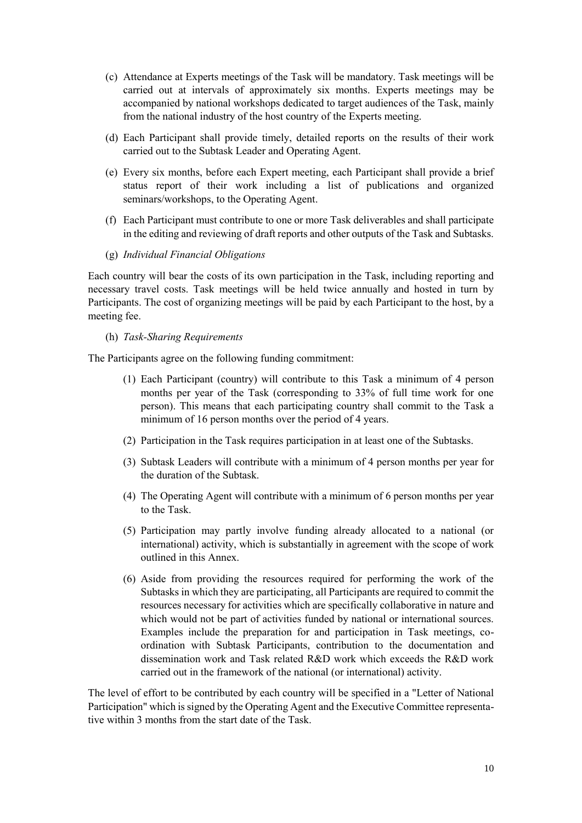- (c) Attendance at Experts meetings of the Task will be mandatory. Task meetings will be carried out at intervals of approximately six months. Experts meetings may be accompanied by national workshops dedicated to target audiences of the Task, mainly from the national industry of the host country of the Experts meeting.
- (d) Each Participant shall provide timely, detailed reports on the results of their work carried out to the Subtask Leader and Operating Agent.
- (e) Every six months, before each Expert meeting, each Participant shall provide a brief status report of their work including a list of publications and organized seminars/workshops, to the Operating Agent.
- (f) Each Participant must contribute to one or more Task deliverables and shall participate in the editing and reviewing of draft reports and other outputs of the Task and Subtasks.
- (g) *Individual Financial Obligations*

Each country will bear the costs of its own participation in the Task, including reporting and necessary travel costs. Task meetings will be held twice annually and hosted in turn by Participants. The cost of organizing meetings will be paid by each Participant to the host, by a meeting fee.

(h) *Task-Sharing Requirements*

The Participants agree on the following funding commitment:

- (1) Each Participant (country) will contribute to this Task a minimum of 4 person months per year of the Task (corresponding to 33% of full time work for one person). This means that each participating country shall commit to the Task a minimum of 16 person months over the period of 4 years.
- (2) Participation in the Task requires participation in at least one of the Subtasks.
- (3) Subtask Leaders will contribute with a minimum of 4 person months per year for the duration of the Subtask.
- (4) The Operating Agent will contribute with a minimum of 6 person months per year to the Task.
- (5) Participation may partly involve funding already allocated to a national (or international) activity, which is substantially in agreement with the scope of work outlined in this Annex.
- (6) Aside from providing the resources required for performing the work of the Subtasks in which they are participating, all Participants are required to commit the resources necessary for activities which are specifically collaborative in nature and which would not be part of activities funded by national or international sources. Examples include the preparation for and participation in Task meetings, coordination with Subtask Participants, contribution to the documentation and dissemination work and Task related R&D work which exceeds the R&D work carried out in the framework of the national (or international) activity.

The level of effort to be contributed by each country will be specified in a "Letter of National Participation" which is signed by the Operating Agent and the Executive Committee representative within 3 months from the start date of the Task.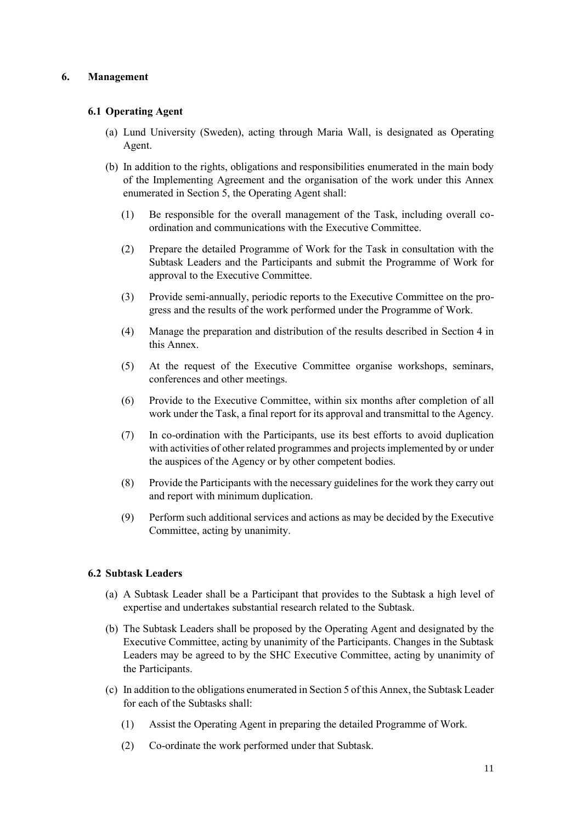#### **6. Management**

#### **6.1 Operating Agent**

- (a) Lund University (Sweden), acting through Maria Wall, is designated as Operating Agent.
- (b) In addition to the rights, obligations and responsibilities enumerated in the main body of the Implementing Agreement and the organisation of the work under this Annex enumerated in Section 5, the Operating Agent shall:
	- (1) Be responsible for the overall management of the Task, including overall coordination and communications with the Executive Committee.
	- (2) Prepare the detailed Programme of Work for the Task in consultation with the Subtask Leaders and the Participants and submit the Programme of Work for approval to the Executive Committee.
	- (3) Provide semi-annually, periodic reports to the Executive Committee on the progress and the results of the work performed under the Programme of Work.
	- (4) Manage the preparation and distribution of the results described in Section 4 in this Annex.
	- (5) At the request of the Executive Committee organise workshops, seminars, conferences and other meetings.
	- (6) Provide to the Executive Committee, within six months after completion of all work under the Task, a final report for its approval and transmittal to the Agency.
	- (7) In co-ordination with the Participants, use its best efforts to avoid duplication with activities of other related programmes and projects implemented by or under the auspices of the Agency or by other competent bodies.
	- (8) Provide the Participants with the necessary guidelines for the work they carry out and report with minimum duplication.
	- (9) Perform such additional services and actions as may be decided by the Executive Committee, acting by unanimity.

#### **6.2 Subtask Leaders**

- (a) A Subtask Leader shall be a Participant that provides to the Subtask a high level of expertise and undertakes substantial research related to the Subtask.
- (b) The Subtask Leaders shall be proposed by the Operating Agent and designated by the Executive Committee, acting by unanimity of the Participants. Changes in the Subtask Leaders may be agreed to by the SHC Executive Committee, acting by unanimity of the Participants.
- (c) In addition to the obligations enumerated in Section 5 of this Annex, the Subtask Leader for each of the Subtasks shall:
	- (1) Assist the Operating Agent in preparing the detailed Programme of Work.
	- (2) Co-ordinate the work performed under that Subtask.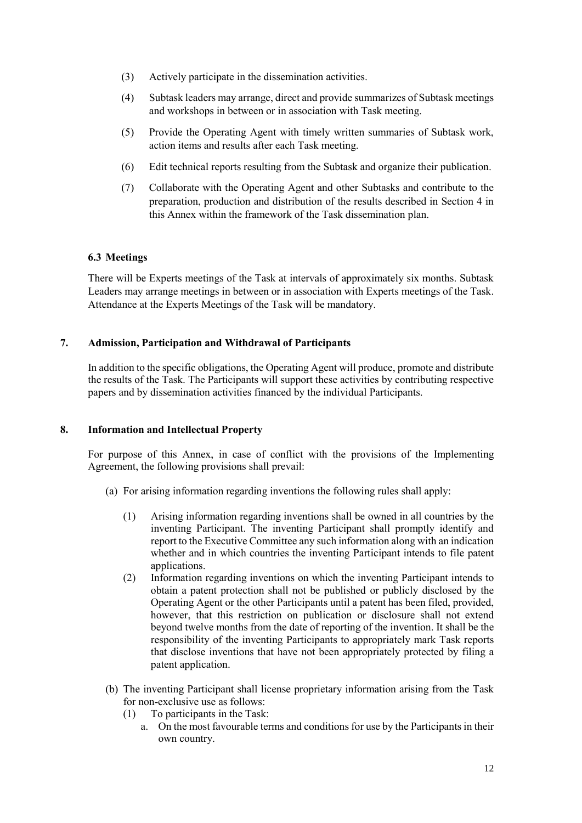- (3) Actively participate in the dissemination activities.
- (4) Subtask leaders may arrange, direct and provide summarizes of Subtask meetings and workshops in between or in association with Task meeting.
- (5) Provide the Operating Agent with timely written summaries of Subtask work, action items and results after each Task meeting.
- (6) Edit technical reports resulting from the Subtask and organize their publication.
- (7) Collaborate with the Operating Agent and other Subtasks and contribute to the preparation, production and distribution of the results described in Section 4 in this Annex within the framework of the Task dissemination plan.

#### **6.3 Meetings**

There will be Experts meetings of the Task at intervals of approximately six months. Subtask Leaders may arrange meetings in between or in association with Experts meetings of the Task. Attendance at the Experts Meetings of the Task will be mandatory.

#### **7. Admission, Participation and Withdrawal of Participants**

In addition to the specific obligations, the Operating Agent will produce, promote and distribute the results of the Task. The Participants will support these activities by contributing respective papers and by dissemination activities financed by the individual Participants.

#### **8. Information and Intellectual Property**

For purpose of this Annex, in case of conflict with the provisions of the Implementing Agreement, the following provisions shall prevail:

- (a) For arising information regarding inventions the following rules shall apply:
	- (1) Arising information regarding inventions shall be owned in all countries by the inventing Participant. The inventing Participant shall promptly identify and report to the Executive Committee any such information along with an indication whether and in which countries the inventing Participant intends to file patent applications.
	- (2) Information regarding inventions on which the inventing Participant intends to obtain a patent protection shall not be published or publicly disclosed by the Operating Agent or the other Participants until a patent has been filed, provided, however, that this restriction on publication or disclosure shall not extend beyond twelve months from the date of reporting of the invention. It shall be the responsibility of the inventing Participants to appropriately mark Task reports that disclose inventions that have not been appropriately protected by filing a patent application.
- (b) The inventing Participant shall license proprietary information arising from the Task for non-exclusive use as follows:
	- (1) To participants in the Task:
		- a. On the most favourable terms and conditions for use by the Participants in their own country.